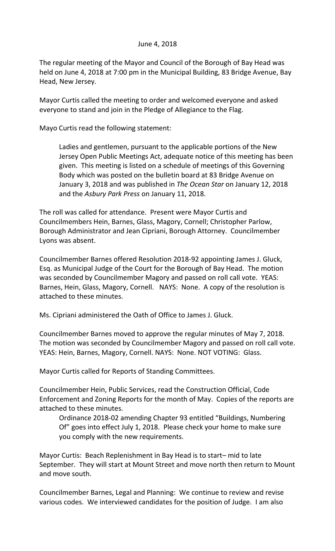## June 4, 2018

The regular meeting of the Mayor and Council of the Borough of Bay Head was held on June 4, 2018 at 7:00 pm in the Municipal Building, 83 Bridge Avenue, Bay Head, New Jersey.

Mayor Curtis called the meeting to order and welcomed everyone and asked everyone to stand and join in the Pledge of Allegiance to the Flag.

Mayo Curtis read the following statement:

Ladies and gentlemen, pursuant to the applicable portions of the New Jersey Open Public Meetings Act, adequate notice of this meeting has been given. This meeting is listed on a schedule of meetings of this Governing Body which was posted on the bulletin board at 83 Bridge Avenue on January 3, 2018 and was published in *The Ocean Star* on January 12, 2018 and the *Asbury Park Press* on January 11, 2018.

The roll was called for attendance. Present were Mayor Curtis and Councilmembers Hein, Barnes, Glass, Magory, Cornell; Christopher Parlow, Borough Administrator and Jean Cipriani, Borough Attorney. Councilmember Lyons was absent.

Councilmember Barnes offered Resolution 2018-92 appointing James J. Gluck, Esq. as Municipal Judge of the Court for the Borough of Bay Head. The motion was seconded by Councilmember Magory and passed on roll call vote. YEAS: Barnes, Hein, Glass, Magory, Cornell. NAYS: None. A copy of the resolution is attached to these minutes.

Ms. Cipriani administered the Oath of Office to James J. Gluck.

Councilmember Barnes moved to approve the regular minutes of May 7, 2018. The motion was seconded by Councilmember Magory and passed on roll call vote. YEAS: Hein, Barnes, Magory, Cornell. NAYS: None. NOT VOTING: Glass.

Mayor Curtis called for Reports of Standing Committees.

Councilmember Hein, Public Services, read the Construction Official, Code Enforcement and Zoning Reports for the month of May. Copies of the reports are attached to these minutes.

Ordinance 2018-02 amending Chapter 93 entitled "Buildings, Numbering Of" goes into effect July 1, 2018. Please check your home to make sure you comply with the new requirements.

Mayor Curtis: Beach Replenishment in Bay Head is to start– mid to late September. They will start at Mount Street and move north then return to Mount and move south.

Councilmember Barnes, Legal and Planning: We continue to review and revise various codes. We interviewed candidates for the position of Judge. I am also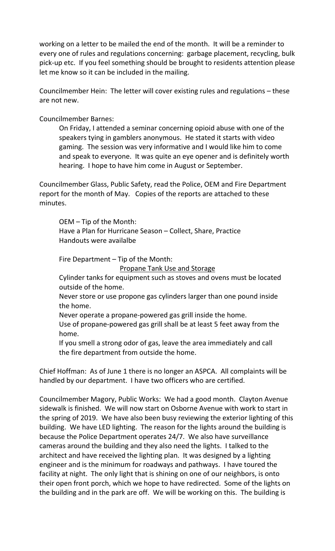working on a letter to be mailed the end of the month. It will be a reminder to every one of rules and regulations concerning: garbage placement, recycling, bulk pick-up etc. If you feel something should be brought to residents attention please let me know so it can be included in the mailing.

Councilmember Hein: The letter will cover existing rules and regulations – these are not new.

Councilmember Barnes:

On Friday, I attended a seminar concerning opioid abuse with one of the speakers tying in gamblers anonymous. He stated it starts with video gaming. The session was very informative and I would like him to come and speak to everyone. It was quite an eye opener and is definitely worth hearing. I hope to have him come in August or September.

Councilmember Glass, Public Safety, read the Police, OEM and Fire Department report for the month of May. Copies of the reports are attached to these minutes.

OEM – Tip of the Month: Have a Plan for Hurricane Season – Collect, Share, Practice Handouts were availalbe

Fire Department – Tip of the Month:

Propane Tank Use and Storage

Cylinder tanks for equipment such as stoves and ovens must be located outside of the home.

Never store or use propone gas cylinders larger than one pound inside the home.

Never operate a propane-powered gas grill inside the home.

Use of propane-powered gas grill shall be at least 5 feet away from the home.

If you smell a strong odor of gas, leave the area immediately and call the fire department from outside the home.

Chief Hoffman: As of June 1 there is no longer an ASPCA. All complaints will be handled by our department. I have two officers who are certified.

Councilmember Magory, Public Works: We had a good month. Clayton Avenue sidewalk is finished. We will now start on Osborne Avenue with work to start in the spring of 2019. We have also been busy reviewing the exterior lighting of this building. We have LED lighting. The reason for the lights around the building is because the Police Department operates 24/7. We also have surveillance cameras around the building and they also need the lights. I talked to the architect and have received the lighting plan. It was designed by a lighting engineer and is the minimum for roadways and pathways. I have toured the facility at night. The only light that is shining on one of our neighbors, is onto their open front porch, which we hope to have redirected. Some of the lights on the building and in the park are off. We will be working on this. The building is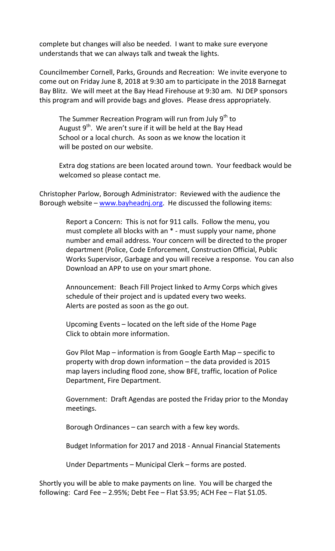complete but changes will also be needed. I want to make sure everyone understands that we can always talk and tweak the lights.

Councilmember Cornell, Parks, Grounds and Recreation: We invite everyone to come out on Friday June 8, 2018 at 9:30 am to participate in the 2018 Barnegat Bay Blitz. We will meet at the Bay Head Firehouse at 9:30 am. NJ DEP sponsors this program and will provide bags and gloves. Please dress appropriately.

The Summer Recreation Program will run from July 9<sup>th</sup> to August  $9<sup>th</sup>$ . We aren't sure if it will be held at the Bay Head School or a local church. As soon as we know the location it will be posted on our website.

Extra dog stations are been located around town. Your feedback would be welcomed so please contact me.

Christopher Parlow, Borough Administrator: Reviewed with the audience the Borough website – [www.bayheadnj.org.](http://www.bayheadnj.org/) He discussed the following items:

> Report a Concern: This is not for 911 calls. Follow the menu, you must complete all blocks with an \* - must supply your name, phone number and email address. Your concern will be directed to the proper department (Police, Code Enforcement, Construction Official, Public Works Supervisor, Garbage and you will receive a response. You can also Download an APP to use on your smart phone.

 Announcement: Beach Fill Project linked to Army Corps which gives schedule of their project and is updated every two weeks. Alerts are posted as soon as the go out.

 Upcoming Events – located on the left side of the Home Page Click to obtain more information.

 Gov Pilot Map – information is from Google Earth Map – specific to property with drop down information – the data provided is 2015 map layers including flood zone, show BFE, traffic, location of Police Department, Fire Department.

 Government: Draft Agendas are posted the Friday prior to the Monday meetings.

Borough Ordinances – can search with a few key words.

Budget Information for 2017 and 2018 - Annual Financial Statements

Under Departments – Municipal Clerk – forms are posted.

Shortly you will be able to make payments on line. You will be charged the following: Card Fee  $-$  2.95%; Debt Fee  $-$  Flat \$3.95; ACH Fee  $-$  Flat \$1.05.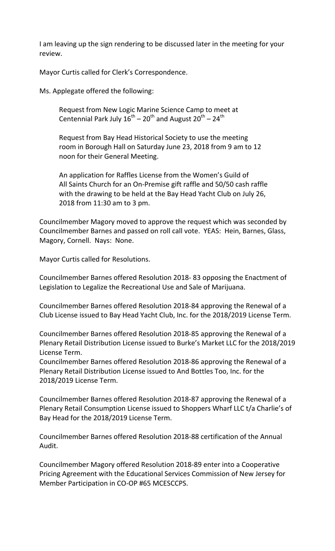I am leaving up the sign rendering to be discussed later in the meeting for your review.

Mayor Curtis called for Clerk's Correspondence.

Ms. Applegate offered the following:

Request from New Logic Marine Science Camp to meet at Centennial Park July  $16^{\text{th}} - 20^{\text{th}}$  and August  $20^{\text{th}} - 24^{\text{th}}$ 

Request from Bay Head Historical Society to use the meeting room in Borough Hall on Saturday June 23, 2018 from 9 am to 12 noon for their General Meeting.

An application for Raffles License from the Women's Guild of All Saints Church for an On-Premise gift raffle and 50/50 cash raffle with the drawing to be held at the Bay Head Yacht Club on July 26, 2018 from 11:30 am to 3 pm.

Councilmember Magory moved to approve the request which was seconded by Councilmember Barnes and passed on roll call vote. YEAS: Hein, Barnes, Glass, Magory, Cornell. Nays: None.

Mayor Curtis called for Resolutions.

Councilmember Barnes offered Resolution 2018- 83 opposing the Enactment of Legislation to Legalize the Recreational Use and Sale of Marijuana.

Councilmember Barnes offered Resolution 2018-84 approving the Renewal of a Club License issued to Bay Head Yacht Club, Inc. for the 2018/2019 License Term.

Councilmember Barnes offered Resolution 2018-85 approving the Renewal of a Plenary Retail Distribution License issued to Burke's Market LLC for the 2018/2019 License Term.

Councilmember Barnes offered Resolution 2018-86 approving the Renewal of a Plenary Retail Distribution License issued to And Bottles Too, Inc. for the 2018/2019 License Term.

Councilmember Barnes offered Resolution 2018-87 approving the Renewal of a Plenary Retail Consumption License issued to Shoppers Wharf LLC t/a Charlie's of Bay Head for the 2018/2019 License Term.

Councilmember Barnes offered Resolution 2018-88 certification of the Annual Audit.

Councilmember Magory offered Resolution 2018-89 enter into a Cooperative Pricing Agreement with the Educational Services Commission of New Jersey for Member Participation in CO-OP #65 MCESCCPS.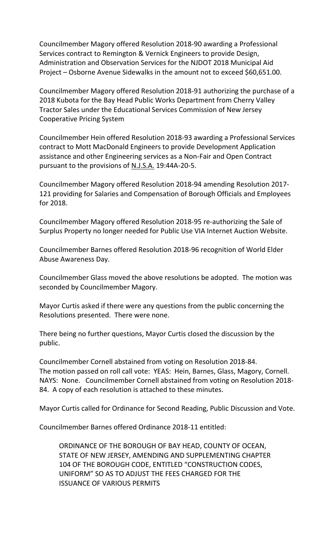Councilmember Magory offered Resolution 2018-90 awarding a Professional Services contract to Remington & Vernick Engineers to provide Design, Administration and Observation Services for the NJDOT 2018 Municipal Aid Project – Osborne Avenue Sidewalks in the amount not to exceed \$60,651.00.

Councilmember Magory offered Resolution 2018-91 authorizing the purchase of a 2018 Kubota for the Bay Head Public Works Department from Cherry Valley Tractor Sales under the Educational Services Commission of New Jersey Cooperative Pricing System

Councilmember Hein offered Resolution 2018-93 awarding a Professional Services contract to Mott MacDonald Engineers to provide Development Application assistance and other Engineering services as a Non-Fair and Open Contract pursuant to the provisions of N.J.S.A. 19:44A-20-5.

Councilmember Magory offered Resolution 2018-94 amending Resolution 2017- 121 providing for Salaries and Compensation of Borough Officials and Employees for 2018.

Councilmember Magory offered Resolution 2018-95 re-authorizing the Sale of Surplus Property no longer needed for Public Use VIA Internet Auction Website.

Councilmember Barnes offered Resolution 2018-96 recognition of World Elder Abuse Awareness Day.

Councilmember Glass moved the above resolutions be adopted. The motion was seconded by Councilmember Magory.

Mayor Curtis asked if there were any questions from the public concerning the Resolutions presented. There were none.

There being no further questions, Mayor Curtis closed the discussion by the public.

Councilmember Cornell abstained from voting on Resolution 2018-84. The motion passed on roll call vote: YEAS: Hein, Barnes, Glass, Magory, Cornell. NAYS: None. Councilmember Cornell abstained from voting on Resolution 2018- 84. A copy of each resolution is attached to these minutes.

Mayor Curtis called for Ordinance for Second Reading, Public Discussion and Vote.

Councilmember Barnes offered Ordinance 2018-11 entitled:

ORDINANCE OF THE BOROUGH OF BAY HEAD, COUNTY OF OCEAN, STATE OF NEW JERSEY, AMENDING AND SUPPLEMENTING CHAPTER 104 OF THE BOROUGH CODE, ENTITLED "CONSTRUCTION CODES, UNIFORM" SO AS TO ADJUST THE FEES CHARGED FOR THE ISSUANCE OF VARIOUS PERMITS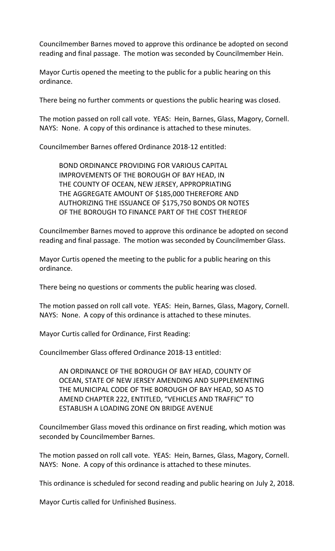Councilmember Barnes moved to approve this ordinance be adopted on second reading and final passage. The motion was seconded by Councilmember Hein.

Mayor Curtis opened the meeting to the public for a public hearing on this ordinance.

There being no further comments or questions the public hearing was closed.

The motion passed on roll call vote. YEAS: Hein, Barnes, Glass, Magory, Cornell. NAYS: None. A copy of this ordinance is attached to these minutes.

Councilmember Barnes offered Ordinance 2018-12 entitled:

BOND ORDINANCE PROVIDING FOR VARIOUS CAPITAL IMPROVEMENTS OF THE BOROUGH OF BAY HEAD, IN THE COUNTY OF OCEAN, NEW JERSEY, APPROPRIATING THE AGGREGATE AMOUNT OF \$185,000 THEREFORE AND AUTHORIZING THE ISSUANCE OF \$175,750 BONDS OR NOTES OF THE BOROUGH TO FINANCE PART OF THE COST THEREOF

Councilmember Barnes moved to approve this ordinance be adopted on second reading and final passage. The motion was seconded by Councilmember Glass.

Mayor Curtis opened the meeting to the public for a public hearing on this ordinance.

There being no questions or comments the public hearing was closed.

The motion passed on roll call vote. YEAS: Hein, Barnes, Glass, Magory, Cornell. NAYS: None. A copy of this ordinance is attached to these minutes.

Mayor Curtis called for Ordinance, First Reading:

Councilmember Glass offered Ordinance 2018-13 entitled:

AN ORDINANCE OF THE BOROUGH OF BAY HEAD, COUNTY OF OCEAN, STATE OF NEW JERSEY AMENDING AND SUPPLEMENTING THE MUNICIPAL CODE OF THE BOROUGH OF BAY HEAD, SO AS TO AMEND CHAPTER 222, ENTITLED, "VEHICLES AND TRAFFIC" TO ESTABLISH A LOADING ZONE ON BRIDGE AVENUE

Councilmember Glass moved this ordinance on first reading, which motion was seconded by Councilmember Barnes.

The motion passed on roll call vote. YEAS: Hein, Barnes, Glass, Magory, Cornell. NAYS: None. A copy of this ordinance is attached to these minutes.

This ordinance is scheduled for second reading and public hearing on July 2, 2018.

Mayor Curtis called for Unfinished Business.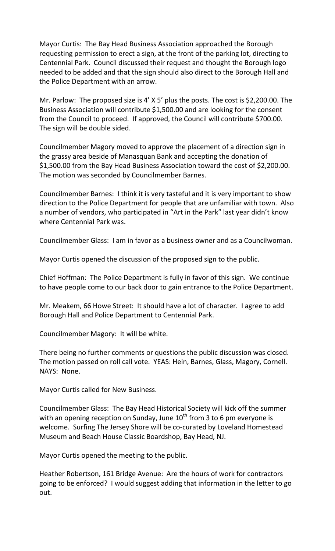Mayor Curtis: The Bay Head Business Association approached the Borough requesting permission to erect a sign, at the front of the parking lot, directing to Centennial Park. Council discussed their request and thought the Borough logo needed to be added and that the sign should also direct to the Borough Hall and the Police Department with an arrow.

Mr. Parlow: The proposed size is 4' X 5' plus the posts. The cost is \$2,200.00. The Business Association will contribute \$1,500.00 and are looking for the consent from the Council to proceed. If approved, the Council will contribute \$700.00. The sign will be double sided.

Councilmember Magory moved to approve the placement of a direction sign in the grassy area beside of Manasquan Bank and accepting the donation of \$1,500.00 from the Bay Head Business Association toward the cost of \$2,200.00. The motion was seconded by Councilmember Barnes.

Councilmember Barnes: I think it is very tasteful and it is very important to show direction to the Police Department for people that are unfamiliar with town. Also a number of vendors, who participated in "Art in the Park" last year didn't know where Centennial Park was.

Councilmember Glass: I am in favor as a business owner and as a Councilwoman.

Mayor Curtis opened the discussion of the proposed sign to the public.

Chief Hoffman: The Police Department is fully in favor of this sign. We continue to have people come to our back door to gain entrance to the Police Department.

Mr. Meakem, 66 Howe Street: It should have a lot of character. I agree to add Borough Hall and Police Department to Centennial Park.

Councilmember Magory: It will be white.

There being no further comments or questions the public discussion was closed. The motion passed on roll call vote. YEAS: Hein, Barnes, Glass, Magory, Cornell. NAYS: None.

Mayor Curtis called for New Business.

Councilmember Glass: The Bay Head Historical Society will kick off the summer with an opening reception on Sunday, June  $10^{th}$  from 3 to 6 pm everyone is welcome. Surfing The Jersey Shore will be co-curated by Loveland Homestead Museum and Beach House Classic Boardshop, Bay Head, NJ.

Mayor Curtis opened the meeting to the public.

Heather Robertson, 161 Bridge Avenue: Are the hours of work for contractors going to be enforced? I would suggest adding that information in the letter to go out.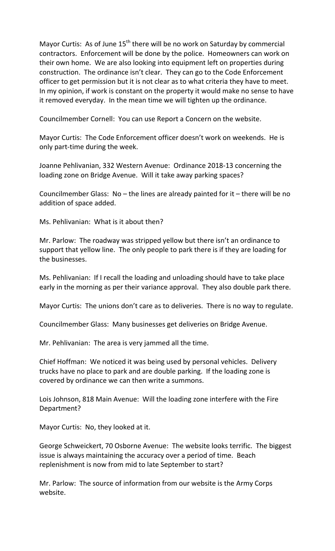Mayor Curtis: As of June  $15<sup>th</sup>$  there will be no work on Saturday by commercial contractors. Enforcement will be done by the police. Homeowners can work on their own home. We are also looking into equipment left on properties during construction. The ordinance isn't clear. They can go to the Code Enforcement officer to get permission but it is not clear as to what criteria they have to meet. In my opinion, if work is constant on the property it would make no sense to have it removed everyday. In the mean time we will tighten up the ordinance.

Councilmember Cornell: You can use Report a Concern on the website.

Mayor Curtis: The Code Enforcement officer doesn't work on weekends. He is only part-time during the week.

Joanne Pehlivanian, 332 Western Avenue: Ordinance 2018-13 concerning the loading zone on Bridge Avenue. Will it take away parking spaces?

Councilmember Glass:  $No$  – the lines are already painted for it – there will be no addition of space added.

Ms. Pehlivanian: What is it about then?

Mr. Parlow: The roadway was stripped yellow but there isn't an ordinance to support that yellow line. The only people to park there is if they are loading for the businesses.

Ms. Pehlivanian: If I recall the loading and unloading should have to take place early in the morning as per their variance approval. They also double park there.

Mayor Curtis: The unions don't care as to deliveries. There is no way to regulate.

Councilmember Glass: Many businesses get deliveries on Bridge Avenue.

Mr. Pehlivanian: The area is very jammed all the time.

Chief Hoffman: We noticed it was being used by personal vehicles. Delivery trucks have no place to park and are double parking. If the loading zone is covered by ordinance we can then write a summons.

Lois Johnson, 818 Main Avenue: Will the loading zone interfere with the Fire Department?

Mayor Curtis: No, they looked at it.

George Schweickert, 70 Osborne Avenue: The website looks terrific. The biggest issue is always maintaining the accuracy over a period of time. Beach replenishment is now from mid to late September to start?

Mr. Parlow: The source of information from our website is the Army Corps website.